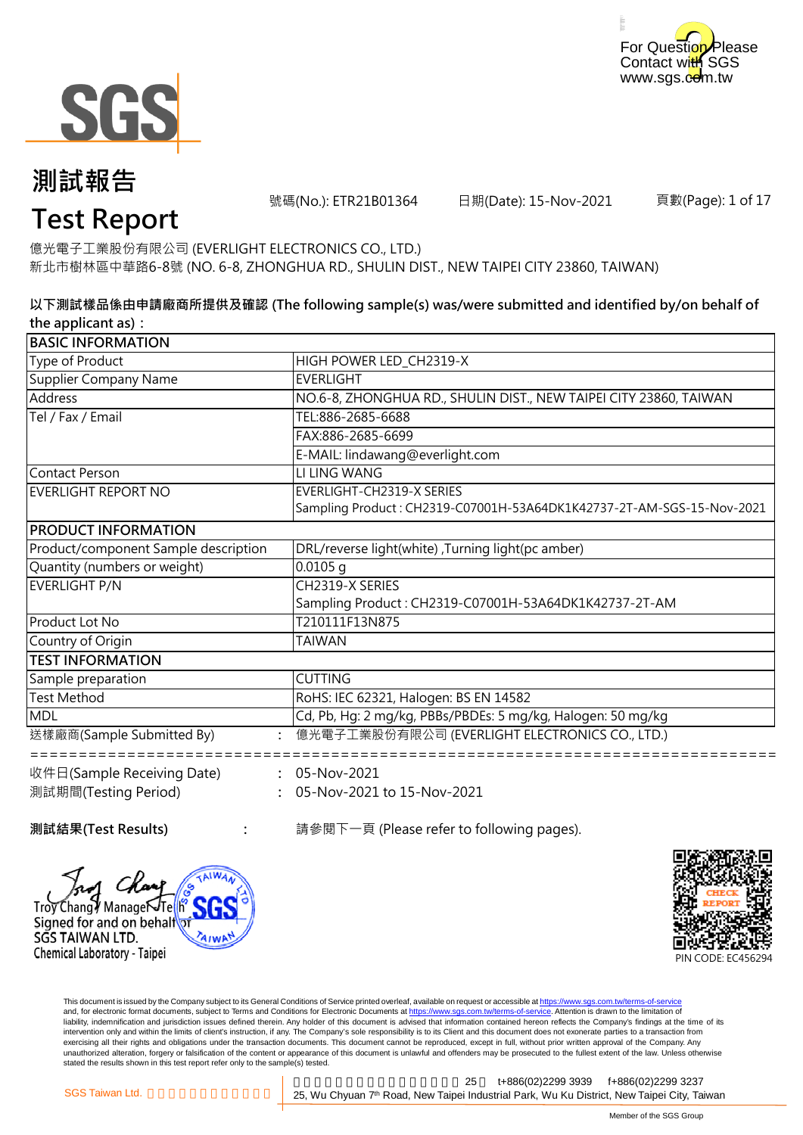



號碼(No.): ETR21B01364 日期(Date): 15-Nov-2021

頁數(Page): 1 of 17

# **Test Report**

億光電子工業股份有限公司 (EVERLIGHT ELECTRONICS CO., LTD.) 新北市樹林區中華路6-8號 (NO. 6-8, ZHONGHUA RD., SHULIN DIST., NEW TAIPEI CITY 23860, TAIWAN)

#### **以下測試樣品係由申請廠商所提供及確認 (The following sample(s) was/were submitted and identified by/on behalf of the applicant as):**

| <b>BASIC INFORMATION</b>             |                                                                       |
|--------------------------------------|-----------------------------------------------------------------------|
| Type of Product                      | HIGH POWER LED_CH2319-X                                               |
| <b>Supplier Company Name</b>         | <b>EVERLIGHT</b>                                                      |
| Address                              | NO.6-8, ZHONGHUA RD., SHULIN DIST., NEW TAIPEI CITY 23860, TAIWAN     |
| Tel / Fax / Email                    | TEL:886-2685-6688                                                     |
|                                      | FAX:886-2685-6699                                                     |
|                                      | E-MAIL: lindawang@everlight.com                                       |
| <b>Contact Person</b>                | LI LING WANG                                                          |
| <b>EVERLIGHT REPORT NO</b>           | <b>EVERLIGHT-CH2319-X SERIES</b>                                      |
|                                      | Sampling Product: CH2319-C07001H-53A64DK1K42737-2T-AM-SGS-15-Nov-2021 |
| <b>PRODUCT INFORMATION</b>           |                                                                       |
| Product/component Sample description | DRL/reverse light(white), Turning light(pc amber)                     |
| Quantity (numbers or weight)         | $0.0105$ g                                                            |
| <b>EVERLIGHT P/N</b>                 | CH2319-X SERIES                                                       |
|                                      | Sampling Product: CH2319-C07001H-53A64DK1K42737-2T-AM                 |
| Product Lot No                       | T210111F13N875                                                        |
| Country of Origin                    | <b>TAIWAN</b>                                                         |
| <b>TEST INFORMATION</b>              |                                                                       |
| Sample preparation                   | <b>CUTTING</b>                                                        |
| <b>Test Method</b>                   | RoHS: IEC 62321, Halogen: BS EN 14582                                 |
| <b>MDL</b>                           | Cd, Pb, Hg: 2 mg/kg, PBBs/PBDEs: 5 mg/kg, Halogen: 50 mg/kg           |
| 送樣廠商(Sample Submitted By)            | 億光電子工業股份有限公司 (EVERLIGHT ELECTRONICS CO., LTD.)                        |
| 收件日(Sample Receiving Date)           | : 05-Nov-2021                                                         |
| 測試期間(Testing Period)                 | 05-Nov-2021 to 15-Nov-2021                                            |
|                                      |                                                                       |

Tro

∕Chang∛ ManageÑTe

Signed for and on behalf

Chemical Laboratory - Taipei

SGS TAIWAN LTD.

**AIW** 

**測試結果(Test Results) :** 請參閱下一頁 (Please refer to following pages).



This document is issued by the Company subject to its General Conditions of Service printed overleaf, available on request or accessible at https://www.sgs.com.tw/terms-of-service and, for electronic format documents, subject to Terms and Conditions for Electronic Documents at https://www.sgs.com.tw/terms-of-service. Attention is drawn to the limitation of liability, indemnification and jurisdiction issues defined therein. Any holder of this document is advised that information contained hereon reflects the Company's findings at the time of its intervention only and within the limits of client's instruction, if any. The Company's sole responsibility is to its Client and this document does not exonerate parties to a transaction from exercising all their rights and obligations under the transaction documents. This document cannot be reproduced, except in full, without prior written approval of the Company. Any<br>unauthorized alteration, forgery or falsif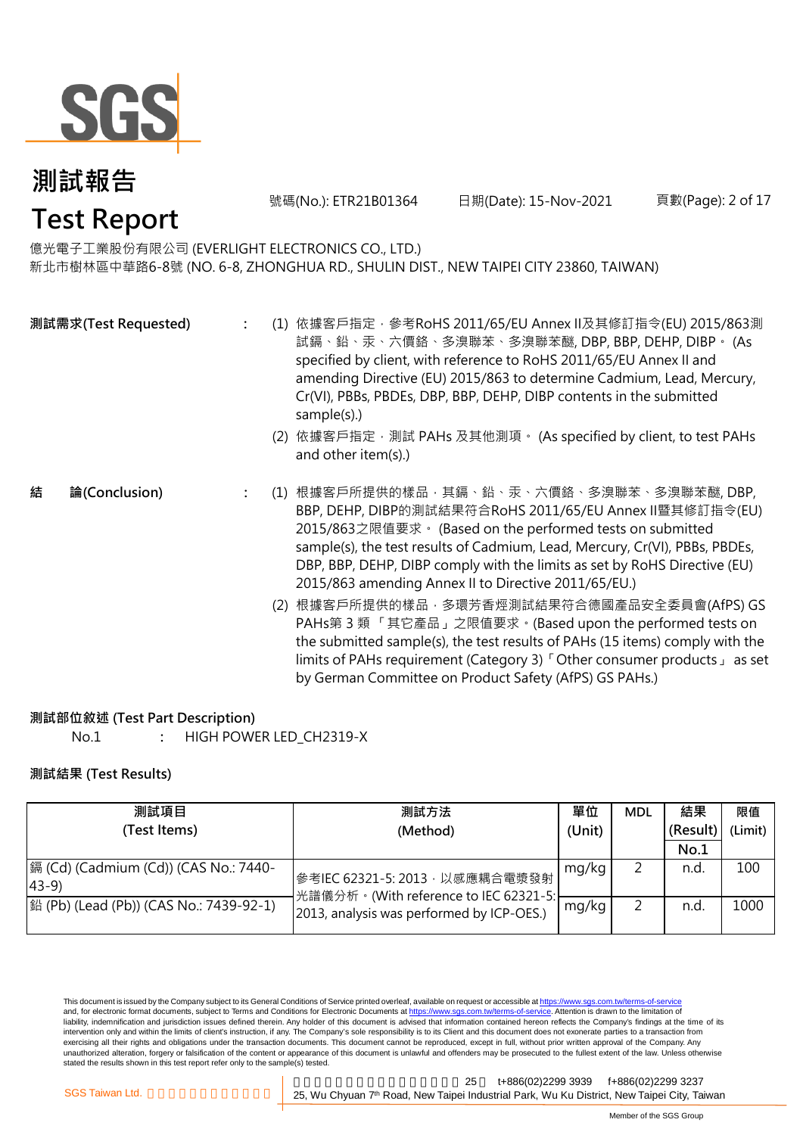

號碼(No.): ETR21B01364 日期(Date): 15-Nov-2021 頁數(Page): 2 of 17

### **Test Report**

億光電子工業股份有限公司 (EVERLIGHT ELECTRONICS CO., LTD.) 新北市樹林區中華路6-8號 (NO. 6-8, ZHONGHUA RD., SHULIN DIST., NEW TAIPEI CITY 23860, TAIWAN)

|   | 測試需求(Test Requested) |  | (1) 依據客戶指定, 參考RoHS 2011/65/EU Annex II及其修訂指令(EU) 2015/863測<br>試鎘、鉛、汞、六價鉻、多溴聯苯、多溴聯苯醚, DBP, BBP, DEHP, DIBP。 (As<br>specified by client, with reference to RoHS 2011/65/EU Annex II and<br>amending Directive (EU) 2015/863 to determine Cadmium, Lead, Mercury,<br>Cr(VI), PBBs, PBDEs, DBP, BBP, DEHP, DIBP contents in the submitted<br>sample(s).)<br>(2) 依據客戶指定, 測試 PAHs 及其他測項。 (As specified by client, to test PAHs<br>and other item(s).) |
|---|----------------------|--|-------------------------------------------------------------------------------------------------------------------------------------------------------------------------------------------------------------------------------------------------------------------------------------------------------------------------------------------------------------------------------------------------------------------------------------------------|
| 結 | 論(Conclusion)        |  | (1) 根據客戶所提供的樣品‧其鎘﹑鉛﹑汞﹑六價鉻﹑多溴聯苯﹑多溴聯苯醚, DBP,<br>BBP, DEHP, DIBP的測試結果符合RoHS 2011/65/EU Annex II暨其修訂指令(EU)<br>2015/863之限值要求。(Based on the performed tests on submitted<br>sample(s), the test results of Cadmium, Lead, Mercury, Cr(VI), PBBs, PBDEs,<br>DBP, BBP, DEHP, DIBP comply with the limits as set by RoHS Directive (EU)<br>2015/863 amending Annex II to Directive 2011/65/EU.)                                                          |
|   |                      |  | (2) 根據客戶所提供的樣品 · 多環芳香烴測試結果符合德國產品安全委員會(AfPS) GS<br>PAHs第3類「其它產品」之限值要求。(Based upon the performed tests on<br>the submitted sample(s), the test results of PAHs (15 items) comply with the<br>limits of PAHs requirement (Category 3) <sup>F</sup> Other consumer products $\lrcorner$ as set                                                                                                                                                      |

#### **測試部位敘述 (Test Part Description)**

No.1 **:** HIGH POWER LED\_CH2319-X

#### **測試結果 (Test Results)**

| 測試項目                                                    | 測試方法                                                                    | 單位    | <b>MDL</b> | 結果       | 限值      |
|---------------------------------------------------------|-------------------------------------------------------------------------|-------|------------|----------|---------|
| (Test Items)                                            | (Unit)<br>(Method)                                                      |       |            | (Result) | (Limit) |
|                                                         |                                                                         |       |            | No.1     |         |
| 鎘 (Cd) (Cadmium (Cd)) (CAS No.: 7440-<br>$ 43-9\rangle$ | 參考IEC 62321-5: 2013, 以感應耦合電漿發射<br>光譜儀分析。(With reference to IEC 62321-5: | mg/kg |            | n.d.     | 100     |
| 銟 (Pb) (Lead (Pb)) (CAS No.: 7439-92-1)                 | 2013, analysis was performed by ICP-OES.)                               | mg/kg |            | n.d      | 1000    |

This document is issued by the Company subject to its General Conditions of Service printed overleaf, available on request or accessible at <u>https://www.sgs.com.tw/terms-of-service</u><br>and, for electronic format documents, su liability, indemnification and jurisdiction issues defined therein. Any holder of this document is advised that information contained hereon reflects the Company's findings at the time of its intervention only and within the limits of client's instruction, if any. The Company's sole responsibility is to its Client and this document does not exonerate parties to a transaction from exercising all their rights and obligations under the transaction documents. This document cannot be reproduced, except in full, without prior written approval of the Company. Any<br>unauthorized alteration, forgery or falsif

新北市五股區新北產業園區五權七 25 t+886(02)2299 3939 f+886(02)2299 3237 SGS Taiwan Ltd. **Exercise 25, Wu Chyuan 7<sup>th</sup> Road, New Taipei Industrial Park, Wu Ku District, New Taipei City, Taiwan** 

by German Committee on Product Safety (AfPS) GS PAHs.)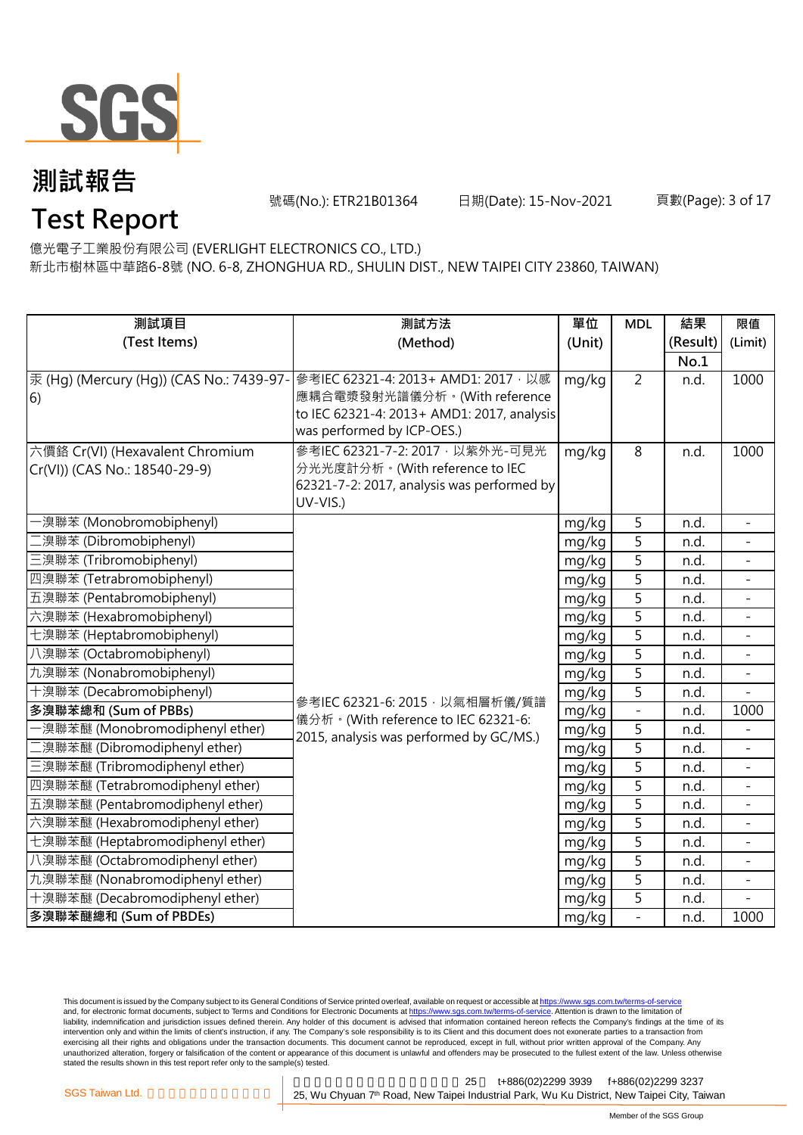

號碼(No.): ETR21B01364 日期(Date): 15-Nov-2021 頁數(Page): 3 of 17

### **Test Report**

億光電子工業股份有限公司 (EVERLIGHT ELECTRONICS CO., LTD.) 新北市樹林區中華路6-8號 (NO. 6-8, ZHONGHUA RD., SHULIN DIST., NEW TAIPEI CITY 23860, TAIWAN)

| 測試項目                                     | 測試方法                                                                         | 單位     | <b>MDL</b>               | 結果       | 限值                       |
|------------------------------------------|------------------------------------------------------------------------------|--------|--------------------------|----------|--------------------------|
| (Test Items)                             | (Method)                                                                     | (Unit) |                          | (Result) | (Limit)                  |
|                                          |                                                                              |        |                          | No.1     |                          |
| 汞 (Hg) (Mercury (Hg)) (CAS No.: 7439-97- | 參考IEC 62321-4: 2013+ AMD1: 2017, 以感                                          | mg/kg  | $\overline{2}$           | n.d.     | 1000                     |
| 6)                                       | 應耦合電漿發射光譜儀分析。(With reference                                                 |        |                          |          |                          |
|                                          | to IEC 62321-4: 2013+ AMD1: 2017, analysis                                   |        |                          |          |                          |
|                                          | was performed by ICP-OES.)                                                   |        |                          |          |                          |
| 六價鉻 Cr(VI) (Hexavalent Chromium          | 參考IEC 62321-7-2: 2017 · 以紫外光-可見光                                             | mg/kg  | 8                        | n.d.     | 1000                     |
| Cr(VI)) (CAS No.: 18540-29-9)            | 分光光度計分析。(With reference to IEC<br>62321-7-2: 2017, analysis was performed by |        |                          |          |                          |
|                                          | UV-VIS.)                                                                     |        |                          |          |                          |
| ·溴聯苯 (Monobromobiphenyl)                 |                                                                              | mg/kg  | 5                        | n.d.     | $\blacksquare$           |
| 二溴聯苯 (Dibromobiphenyl)                   |                                                                              | mg/kg  | 5                        | n.d.     |                          |
| 三溴聯苯 (Tribromobiphenyl)                  |                                                                              | mg/kg  | 5                        | n.d.     |                          |
| 四溴聯苯 (Tetrabromobiphenyl)                |                                                                              | mg/kg  | $\overline{5}$           | n.d.     |                          |
| 五溴聯苯 (Pentabromobiphenyl)                |                                                                              | mg/kg  | $\overline{5}$           | n.d.     |                          |
| 六溴聯苯 (Hexabromobiphenyl)                 |                                                                              | mg/kg  | $\overline{5}$           | n.d.     |                          |
| 七溴聯苯 (Heptabromobiphenyl)                |                                                                              | mg/kg  | $\overline{5}$           | n.d.     | $\equiv$                 |
| 八溴聯苯 (Octabromobiphenyl)                 |                                                                              | mg/kg  | $\overline{5}$           | n.d.     | $\overline{\phantom{a}}$ |
| 九溴聯苯 (Nonabromobiphenyl)                 |                                                                              | mg/kg  | 5                        | n.d.     |                          |
| 十溴聯苯 (Decabromobiphenyl)                 | 參考IEC 62321-6: 2015, 以氣相層析儀/質譜                                               | mg/kg  | 5                        | n.d.     |                          |
| 多溴聯苯總和 (Sum of PBBs)                     | 儀分析。(With reference to IEC 62321-6:                                          | mg/kg  | $\overline{\phantom{0}}$ | n.d.     | 1000                     |
| ·溴聯苯醚 (Monobromodiphenyl ether)          | 2015, analysis was performed by GC/MS.)                                      | mg/kg  | 5                        | n.d.     |                          |
| 二溴聯苯醚 (Dibromodiphenyl ether)            |                                                                              | mg/kg  | $\overline{5}$           | n.d.     |                          |
| 三溴聯苯醚 (Tribromodiphenyl ether)           |                                                                              | mg/kg  | $\overline{5}$           | n.d.     |                          |
| 四溴聯苯醚 (Tetrabromodiphenyl ether)         |                                                                              | mg/kg  | $\overline{5}$           | n.d.     | $\mathbb{L}^2$           |
| 五溴聯苯醚 (Pentabromodiphenyl ether)         |                                                                              | mg/kg  | $\overline{5}$           | n.d.     |                          |
| 六溴聯苯醚 (Hexabromodiphenyl ether)          |                                                                              | mg/kg  | 5                        | n.d.     |                          |
| 七溴聯苯醚 (Heptabromodiphenyl ether)         |                                                                              | mg/kg  | 5                        | n.d.     | $\blacksquare$           |
| 八溴聯苯醚 (Octabromodiphenyl ether)          |                                                                              | mg/kg  | 5                        | n.d.     |                          |
| 九溴聯苯醚 (Nonabromodiphenyl ether)          |                                                                              | mg/kg  | $\overline{5}$           | n.d.     |                          |
| 十溴聯苯醚 (Decabromodiphenyl ether)          |                                                                              | mg/kg  | 5                        | n.d.     |                          |
| 多溴聯苯醚總和 (Sum of PBDEs)                   |                                                                              | mg/kg  | $\overline{a}$           | n.d.     | 1000                     |

This document is issued by the Company subject to its General Conditions of Service printed overleaf, available on request or accessible at <u>https://www.sgs.com.tw/terms-of-service</u><br>and, for electronic format documents, su liability, indemnification and jurisdiction issues defined therein. Any holder of this document is advised that information contained hereon reflects the Company's findings at the time of its intervention only and within the limits of client's instruction, if any. The Company's sole responsibility is to its Client and this document does not exonerate parties to a transaction from exercising all their rights and obligations under the transaction documents. This document cannot be reproduced, except in full, without prior written approval of the Company. Any<br>unauthorized alteration, forgery or falsif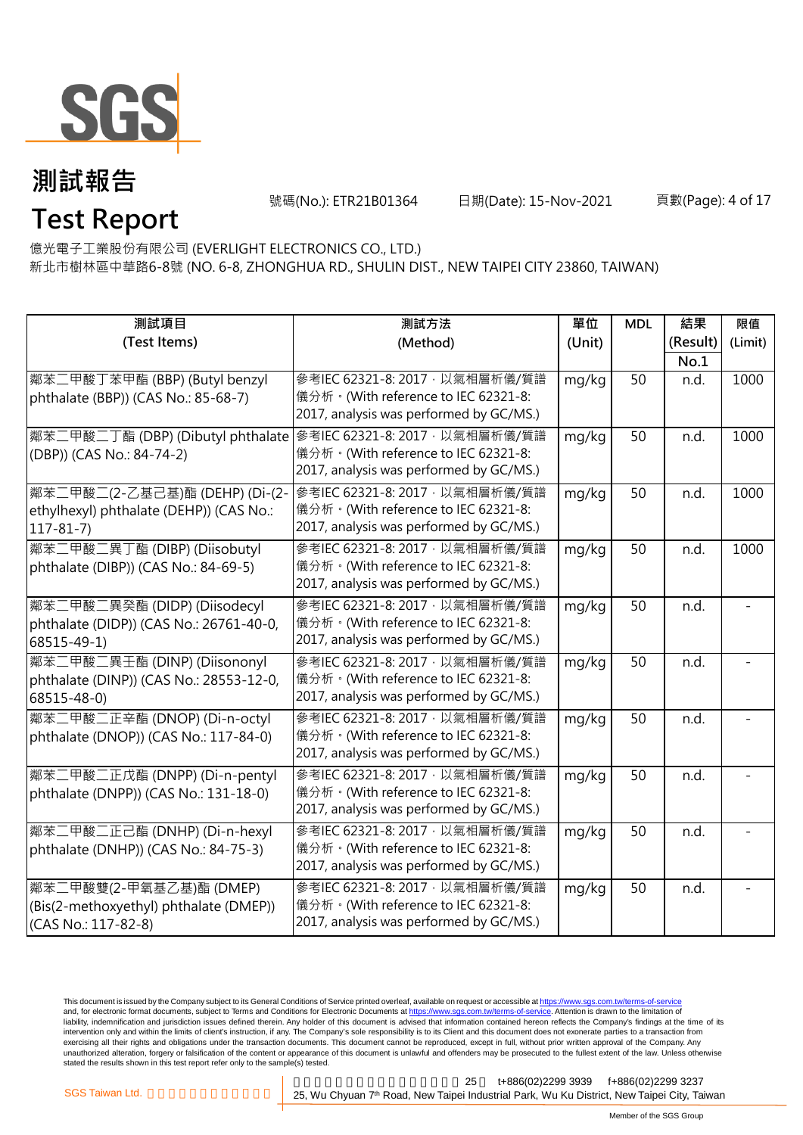

號碼(No.): ETR21B01364 日期(Date): 15-Nov-2021 頁數(Page): 4 of 17

### 億光電子工業股份有限公司 (EVERLIGHT ELECTRONICS CO., LTD.) **Test Report**

新北市樹林區中華路6-8號 (NO. 6-8, ZHONGHUA RD., SHULIN DIST., NEW TAIPEI CITY 23860, TAIWAN)

| 測試項目                                    | 測試方法                                    | 單位     | <b>MDL</b> | 結果       | 限值      |
|-----------------------------------------|-----------------------------------------|--------|------------|----------|---------|
| (Test Items)                            | (Method)                                | (Unit) |            | (Result) | (Limit) |
|                                         |                                         |        |            | No.1     |         |
| 鄰苯二甲酸丁苯甲酯 (BBP) (Butyl benzyl           | 參考IEC 62321-8: 2017, 以氣相層析儀/質譜          | mg/kg  | 50         | n.d.     | 1000    |
| phthalate (BBP)) (CAS No.: 85-68-7)     | 儀分析。(With reference to IEC 62321-8:     |        |            |          |         |
|                                         | 2017, analysis was performed by GC/MS.) |        |            |          |         |
| 鄰苯二甲酸二丁酯 (DBP) (Dibutyl phthalate       | 參考IEC 62321-8: 2017, 以氣相層析儀/質譜          | mg/kg  | 50         | n.d.     | 1000    |
| (DBP)) (CAS No.: 84-74-2)               | 儀分析。(With reference to IEC 62321-8:     |        |            |          |         |
|                                         | 2017, analysis was performed by GC/MS.) |        |            |          |         |
| 鄰苯二甲酸二(2-乙基己基)酯 (DEHP) (Di-(2-          | 參考IEC 62321-8: 2017 · 以氣相層析儀/質譜         | mg/kg  | 50         | n.d.     | 1000    |
| ethylhexyl) phthalate (DEHP)) (CAS No.: | 儀分析。(With reference to IEC 62321-8:     |        |            |          |         |
| $117 - 81 - 7$                          | 2017, analysis was performed by GC/MS.) |        |            |          |         |
| 鄰苯二甲酸二異丁酯 (DIBP) (Diisobutyl            | 參考IEC 62321-8: 2017, 以氣相層析儀/質譜          | mg/kg  | 50         | n.d.     | 1000    |
| phthalate (DIBP)) (CAS No.: 84-69-5)    | 儀分析。(With reference to IEC 62321-8:     |        |            |          |         |
|                                         | 2017, analysis was performed by GC/MS.) |        |            |          |         |
| 鄰苯二甲酸二異癸酯 (DIDP) (Diisodecyl            | 參考IEC 62321-8: 2017, 以氣相層析儀/質譜          | mg/kg  | 50         | n.d.     |         |
| phthalate (DIDP)) (CAS No.: 26761-40-0, | 儀分析。(With reference to IEC 62321-8:     |        |            |          |         |
| 68515-49-1)                             | 2017, analysis was performed by GC/MS.) |        |            |          |         |
| 鄰苯二甲酸二異壬酯 (DINP) (Diisononyl            | 參考IEC 62321-8: 2017, 以氣相層析儀/質譜          | mg/kg  | 50         | n.d.     |         |
| phthalate (DINP)) (CAS No.: 28553-12-0, | 儀分析。(With reference to IEC 62321-8:     |        |            |          |         |
| 68515-48-0)                             | 2017, analysis was performed by GC/MS.) |        |            |          |         |
| 鄰苯二甲酸二正辛酯 (DNOP) (Di-n-octyl            | 參考IEC 62321-8: 2017, 以氣相層析儀/質譜          | mg/kg  | 50         | n.d.     |         |
| phthalate (DNOP)) (CAS No.: 117-84-0)   | 儀分析。(With reference to IEC 62321-8:     |        |            |          |         |
|                                         | 2017, analysis was performed by GC/MS.) |        |            |          |         |
| 鄰苯二甲酸二正戊酯 (DNPP) (Di-n-pentyl           | 參考IEC 62321-8: 2017, 以氣相層析儀/質譜          | mg/kg  | 50         | n.d.     |         |
| phthalate (DNPP)) (CAS No.: 131-18-0)   | 儀分析。(With reference to IEC 62321-8:     |        |            |          |         |
|                                         | 2017, analysis was performed by GC/MS.) |        |            |          |         |
| 鄰苯二甲酸二正己酯 (DNHP) (Di-n-hexyl            | 參考IEC 62321-8: 2017, 以氣相層析儀/質譜          | mg/kg  | 50         | n.d.     |         |
| phthalate (DNHP)) (CAS No.: 84-75-3)    | 儀分析。(With reference to IEC 62321-8:     |        |            |          |         |
|                                         | 2017, analysis was performed by GC/MS.) |        |            |          |         |
| 鄰苯二甲酸雙(2-甲氧基乙基)酯 (DMEP)                 | 參考IEC 62321-8: 2017, 以氣相層析儀/質譜          | mg/kg  | 50         | n.d.     |         |
| (Bis(2-methoxyethyl) phthalate (DMEP))  | 儀分析。(With reference to IEC 62321-8:     |        |            |          |         |
| (CAS No.: 117-82-8)                     | 2017, analysis was performed by GC/MS.) |        |            |          |         |

This document is issued by the Company subject to its General Conditions of Service printed overleaf, available on request or accessible at <u>https://www.sgs.com.tw/terms-of-service</u><br>and, for electronic format documents, su liability, indemnification and jurisdiction issues defined therein. Any holder of this document is advised that information contained hereon reflects the Company's findings at the time of its intervention only and within the limits of client's instruction, if any. The Company's sole responsibility is to its Client and this document does not exonerate parties to a transaction from exercising all their rights and obligations under the transaction documents. This document cannot be reproduced, except in full, without prior written approval of the Company. Any<br>unauthorized alteration, forgery or falsif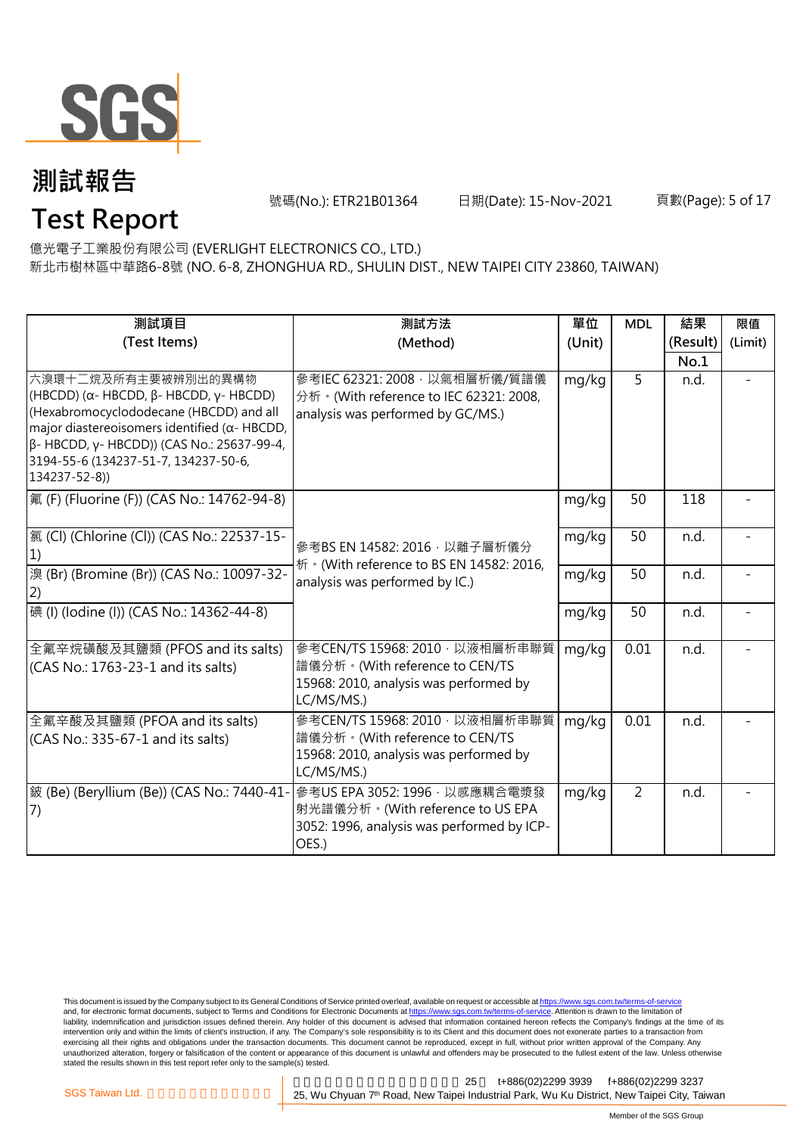

**Test Report**

號碼(No.): ETR21B01364 日期(Date): 15-Nov-2021 頁數(Page): 5 of 17

億光電子工業股份有限公司 (EVERLIGHT ELECTRONICS CO., LTD.)

新北市樹林區中華路6-8號 (NO. 6-8, ZHONGHUA RD., SHULIN DIST., NEW TAIPEI CITY 23860, TAIWAN)

| 測試項目                                                                                                                                                                                                                                                                                             | 測試方法                                                                                                                     | 單位     | <b>MDL</b>     | 結果       | 限值      |
|--------------------------------------------------------------------------------------------------------------------------------------------------------------------------------------------------------------------------------------------------------------------------------------------------|--------------------------------------------------------------------------------------------------------------------------|--------|----------------|----------|---------|
| (Test Items)                                                                                                                                                                                                                                                                                     | (Method)                                                                                                                 | (Unit) |                | (Result) | (Limit) |
|                                                                                                                                                                                                                                                                                                  |                                                                                                                          |        |                | No.1     |         |
| 六溴環十二烷及所有主要被辨別出的異構物<br>(HBCDD) ( $\alpha$ - HBCDD, $\beta$ - HBCDD, $\gamma$ - HBCDD)<br>(Hexabromocyclododecane (HBCDD) and all<br>major diastereoisomers identified ( $\alpha$ - HBCDD,<br>β- HBCDD, γ- HBCDD)) (CAS No.: 25637-99-4,<br>3194-55-6 (134237-51-7, 134237-50-6,<br>134237-52-8)) | 參考IEC 62321: 2008 · 以氣相層析儀/質譜儀<br>分析 · (With reference to IEC 62321: 2008,<br>analysis was performed by GC/MS.)          | mg/kg  | 5              | n.d.     |         |
| 氟 (F) (Fluorine (F)) (CAS No.: 14762-94-8)                                                                                                                                                                                                                                                       |                                                                                                                          | mg/kg  | 50             | 118      |         |
| [氯 (Cl) (Chlorine (Cl)) (CAS No.: 22537-15-<br>1)                                                                                                                                                                                                                                                | 參考BS EN 14582: 2016, 以離子層析儀分<br>析 · (With reference to BS EN 14582: 2016,                                                | mg/kg  | 50             | n.d.     |         |
| 溴 (Br) (Bromine (Br)) (CAS No.: 10097-32-<br>(2)                                                                                                                                                                                                                                                 | analysis was performed by IC.)                                                                                           | mg/kg  | 50             | n.d.     |         |
| 碘 (I) (lodine (I)) (CAS No.: 14362-44-8)                                                                                                                                                                                                                                                         |                                                                                                                          | mg/kg  | 50             | n.d.     |         |
| 全氟辛烷磺酸及其鹽類 (PFOS and its salts)<br>(CAS No.: 1763-23-1 and its salts)                                                                                                                                                                                                                            | 參考CEN/TS 15968: 2010, 以液相層析串聯質<br>譜儀分析。(With reference to CEN/TS<br>15968: 2010, analysis was performed by<br>LC/MS/MS.) | mg/kg  | 0.01           | n.d.     |         |
| 全氟辛酸及其鹽類 (PFOA and its salts)<br>(CAS No.: 335-67-1 and its salts)                                                                                                                                                                                                                               | 參考CEN/TS 15968: 2010, 以液相層析串聯質<br>譜儀分析。(With reference to CEN/TS<br>15968: 2010, analysis was performed by<br>LC/MS/MS.) | mg/kg  | 0.01           | n.d.     |         |
| 皴 (Be) (Beryllium (Be)) (CAS No.: 7440-41-<br>(7)                                                                                                                                                                                                                                                | 參考US EPA 3052: 1996, 以感應耦合電漿發<br>射光譜儀分析。(With reference to US EPA<br>3052: 1996, analysis was performed by ICP-<br>OES.) | mg/kg  | $\overline{2}$ | n.d.     |         |

This document is issued by the Company subject to its General Conditions of Service printed overleaf, available on request or accessible at <u>https://www.sgs.com.tw/terms-of-service</u><br>and, for electronic format documents, su liability, indemnification and jurisdiction issues defined therein. Any holder of this document is advised that information contained hereon reflects the Company's findings at the time of its liability, indemnification and intervention only and within the limits of client's instruction, if any. The Company's sole responsibility is to its Client and this document does not exonerate parties to a transaction from exercising all their rights and obligations under the transaction documents. This document cannot be reproduced, except in full, without prior written approval of the Company. Any<br>unauthorized alteration, forgery or falsif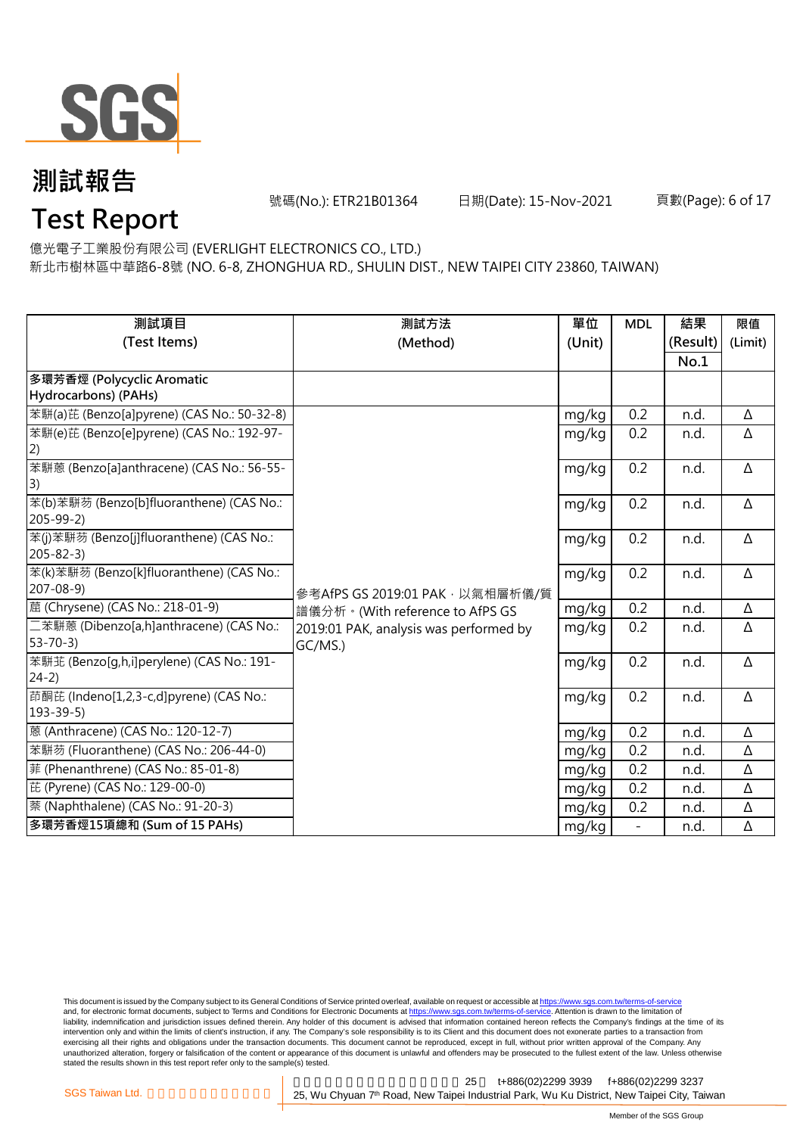

號碼(No.): ETR21B01364 日期(Date): 15-Nov-2021 頁數(Page): 6 of 17

### **Test Report**

億光電子工業股份有限公司 (EVERLIGHT ELECTRONICS CO., LTD.)

新北市樹林區中華路6-8號 (NO. 6-8, ZHONGHUA RD., SHULIN DIST., NEW TAIPEI CITY 23860, TAIWAN)

| 測試項目                                       | 測試方法                                   | 單位     | <b>MDL</b>               | 結果       | 限值      |
|--------------------------------------------|----------------------------------------|--------|--------------------------|----------|---------|
| (Test Items)                               | (Method)                               | (Unit) |                          | (Result) | (Limit) |
|                                            |                                        |        |                          | No.1     |         |
| 多環芳香烴 (Polycyclic Aromatic                 |                                        |        |                          |          |         |
| Hydrocarbons) (PAHs)                       |                                        |        |                          |          |         |
| 苯駢(a)芘 (Benzo[a]pyrene) (CAS No.: 50-32-8) |                                        | mg/kg  | 0.2                      | n.d.     | Δ       |
| 苯駢(e)芘 (Benzo[e]pyrene) (CAS No.: 192-97-  |                                        | mg/kg  | 0.2                      | n.d.     | Δ       |
| 2)                                         |                                        |        |                          |          |         |
| 苯駢蒽 (Benzo[a]anthracene) (CAS No.: 56-55-  |                                        | mg/kg  | 0.2                      | n.d.     | Δ       |
| 3)                                         |                                        |        |                          |          |         |
| 苯(b)苯駢芴 (Benzo[b]fluoranthene) (CAS No.:   |                                        | mg/kg  | 0.2                      | n.d.     | Δ       |
| $205 - 99 - 2$                             |                                        |        |                          |          |         |
| 苯(j)苯駢芴 (Benzo[j]fluoranthene) (CAS No.:   |                                        | mg/kg  | 0.2                      | n.d.     | Δ       |
| $205 - 82 - 3$                             |                                        |        |                          |          |         |
| 苯(k)苯駢芴 (Benzo[k]fluoranthene) (CAS No.:   |                                        | mg/kg  | 0.2                      | n.d.     | Δ       |
| $207 - 08 - 9$                             | 參考AfPS GS 2019:01 PAK · 以氣相層析儀/質       |        |                          |          |         |
| 蔰 (Chrysene) (CAS No.: 218-01-9)           | 譜儀分析。(With reference to AfPS GS        | mg/kg  | 0.2                      | n.d.     | Δ       |
| 二苯駢蒽 (Dibenzo[a,h]anthracene) (CAS No.:    | 2019:01 PAK, analysis was performed by | mg/kg  | 0.2                      | n.d.     | Δ       |
| $53 - 70 - 3$                              | GC/MS.)                                |        |                          |          |         |
| 苯駢苝 (Benzo[g,h,i]perylene) (CAS No.: 191-  |                                        | mg/kg  | 0.2                      | n.d.     | Δ       |
| $24-2)$                                    |                                        |        |                          |          |         |
| 茚酮芘 (Indeno[1,2,3-c,d]pyrene) (CAS No.:    |                                        | mg/kg  | 0.2                      | n.d.     | Δ       |
| $193 - 39 - 5$                             |                                        |        |                          |          |         |
| 蒽 (Anthracene) (CAS No.: 120-12-7)         |                                        | mg/kg  | 0.2                      | n.d.     | Δ       |
| 苯駢芴 (Fluoranthene) (CAS No.: 206-44-0)     |                                        | mg/kg  | 0.2                      | n.d.     | Δ       |
| 菲 (Phenanthrene) (CAS No.: 85-01-8)        |                                        | mg/kg  | 0.2                      | n.d.     | Δ       |
| 芘 (Pyrene) (CAS No.: 129-00-0)             |                                        | mg/kg  | 0.2                      | n.d.     | Δ       |
| 萘 (Naphthalene) (CAS No.: 91-20-3)         |                                        | mg/kg  | 0.2                      | n.d.     | Δ       |
| 多環芳香烴15項總和 (Sum of 15 PAHs)                |                                        | mg/kg  | $\overline{\phantom{0}}$ | n.d.     | Δ       |

This document is issued by the Company subject to its General Conditions of Service printed overleaf, available on request or accessible at <u>https://www.sgs.com.tw/terms-of-service</u><br>and, for electronic format documents, su liability, indemnification and jurisdiction issues defined therein. Any holder of this document is advised that information contained hereon reflects the Company's findings at the time of its intervention only and within the limits of client's instruction, if any. The Company's sole responsibility is to its Client and this document does not exonerate parties to a transaction from exercising all their rights and obligations under the transaction documents. This document cannot be reproduced, except in full, without prior written approval of the Company. Any<br>unauthorized alteration, forgery or falsif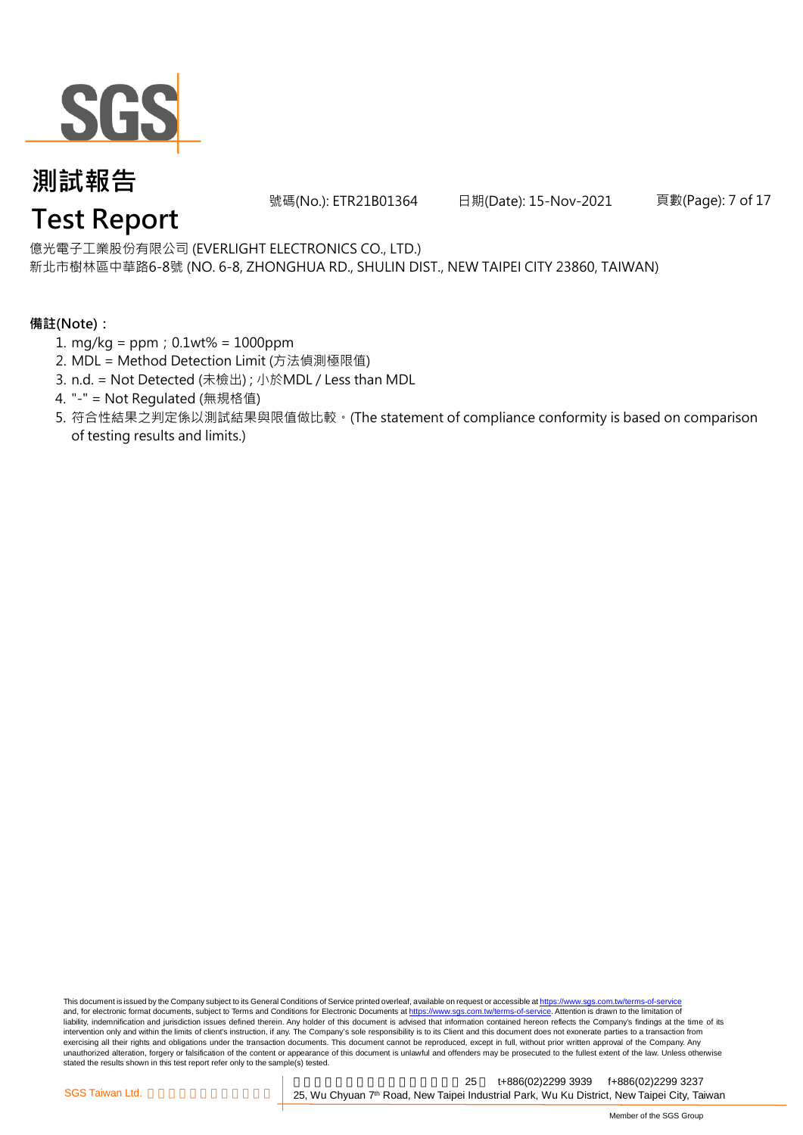

號碼(No.): ETR21B01364 日期(Date): 15-Nov-2021 頁數(Page): 7 of 17

億光電子工業股份有限公司 (EVERLIGHT ELECTRONICS CO., LTD.)

新北市樹林區中華路6-8號 (NO. 6-8, ZHONGHUA RD., SHULIN DIST., NEW TAIPEI CITY 23860, TAIWAN)

#### **備註(Note):**

- 1. mg/kg = ppm;0.1wt% = 1000ppm
- 2. MDL = Method Detection Limit (方法偵測極限值)
- 3. n.d. = Not Detected (未檢出) ; 小於MDL / Less than MDL
- 4. "-" = Not Regulated (無規格值)
- 5. 符合性結果之判定係以測試結果與限值做比較。(The statement of compliance conformity is based on comparison of testing results and limits.)

This document is issued by the Company subject to its General Conditions of Service printed overleaf, available on request or accessible at https://www.sgs.com.tw/terms-of-service and, for electronic format documents, subject to Terms and Conditions for Electronic Documents at https://www.sgs.com.tw/terms-of-service. Attention is drawn to the limitation of liability, indemnification and jurisdiction issues defined therein. Any holder of this document is advised that information contained hereon reflects the Company's findings at the time of its intervention only and within the limits of client's instruction, if any. The Company's sole responsibility is to its Client and this document does not exonerate parties to a transaction from exercising all their rights and obligations under the transaction documents. This document cannot be reproduced, except in full, without prior written approval of the Company. Any<br>unauthorized alteration, forgery or falsif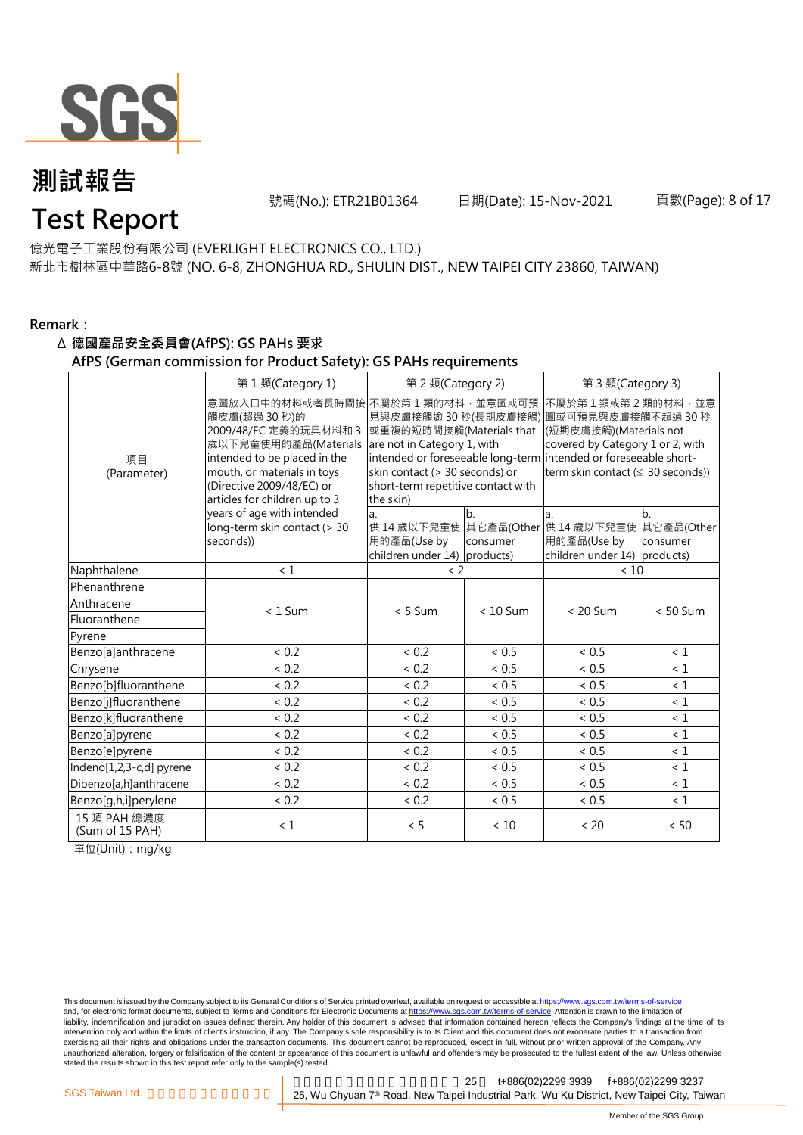

號碼(No.): ETR21B01364 日期(Date): 15-Nov-2021 頁數(Page): 8 of 17

#### 億光電子工業股份有限公司 (EVERLIGHT ELECTRONICS CO., LTD.)

新北市樹林區中華路6-8號 (NO. 6-8, ZHONGHUA RD., SHULIN DIST., NEW TAIPEI CITY 23860, TAIWAN)

#### **Remark:**

#### Δ **德國產品安全委員會(AfPS): GS PAHs 要求**

#### **AfPS (German commission for Product Safety): GS PAHs requirements**

|                                 | 第 1 類(Category 1)                                                                                                                                                                                            | 第 2 類(Category 2)                                                                                                                                                |                | 第 3 類(Category 3)                                                                                                                                                                                                                  |                |  |
|---------------------------------|--------------------------------------------------------------------------------------------------------------------------------------------------------------------------------------------------------------|------------------------------------------------------------------------------------------------------------------------------------------------------------------|----------------|------------------------------------------------------------------------------------------------------------------------------------------------------------------------------------------------------------------------------------|----------------|--|
| 項目<br>(Parameter)               | 意圖放入口中的材料或者長時間接<br>觸皮膚(超過30秒)的<br>2009/48/EC 定義的玩具材料和 3<br>歲以下兒童使用的產品(Materials<br>intended to be placed in the<br>mouth, or materials in toys<br>(Directive 2009/48/EC) or<br>articles for children up to 3 | 不屬於第1類的材料,並意圖或可預<br>或重複的短時間接觸(Materials that<br>are not in Category 1, with<br>skin contact (> 30 seconds) or<br>short-term repetitive contact with<br>the skin) |                | 不屬於第1類或第2類的材料·並意<br>見與皮膚接觸逾 30 秒(長期皮膚接觸) 圖或可預見與皮膚接觸不超過 30 秒<br>(短期皮膚接觸)(Materials not<br>covered by Category 1 or 2, with<br>intended or foreseeable long-term intended or foreseeable short-<br>term skin contact (≤ 30 seconds)) |                |  |
|                                 | years of age with intended<br>long-term skin contact (> 30<br>seconds))                                                                                                                                      | a.<br>用的產品(Use by<br>children under $14$ ) products)                                                                                                             | b.<br>consumer | a.<br>供 14 歳以下兒童使 其它產品(Other 供 14 歳以下兒童使 其它產品(Other<br>用的產品(Use by<br>children under 14) products)                                                                                                                                 | b.<br>consumer |  |
| Naphthalene                     | < 1                                                                                                                                                                                                          | < 2                                                                                                                                                              |                | < 10                                                                                                                                                                                                                               |                |  |
| Phenanthrene                    |                                                                                                                                                                                                              |                                                                                                                                                                  |                |                                                                                                                                                                                                                                    |                |  |
| Anthracene                      | $< 1$ Sum                                                                                                                                                                                                    | $< 5$ Sum                                                                                                                                                        | $< 10$ Sum     | $< 20$ Sum                                                                                                                                                                                                                         | $< 50$ Sum     |  |
| Fluoranthene                    |                                                                                                                                                                                                              |                                                                                                                                                                  |                |                                                                                                                                                                                                                                    |                |  |
| Pyrene                          |                                                                                                                                                                                                              |                                                                                                                                                                  |                |                                                                                                                                                                                                                                    |                |  |
| Benzo[a]anthracene              | < 0.2                                                                                                                                                                                                        | < 0.2                                                                                                                                                            | < 0.5          | < 0.5                                                                                                                                                                                                                              | $\leq 1$       |  |
| Chrysene                        | < 0.2                                                                                                                                                                                                        | < 0.2                                                                                                                                                            | < 0.5          | < 0.5                                                                                                                                                                                                                              | $\leq 1$       |  |
| Benzo[b]fluoranthene            | < 0.2                                                                                                                                                                                                        | ${}< 0.2$                                                                                                                                                        | < 0.5          | < 0.5                                                                                                                                                                                                                              | $\leq 1$       |  |
| Benzo[j]fluoranthene            | < 0.2                                                                                                                                                                                                        | ${}< 0.2$                                                                                                                                                        | < 0.5          | < 0.5                                                                                                                                                                                                                              | $\leq 1$       |  |
| Benzo[k]fluoranthene            | < 0.2                                                                                                                                                                                                        | < 0.2                                                                                                                                                            | < 0.5          | < 0.5                                                                                                                                                                                                                              | $\leq 1$       |  |
| Benzo[a]pyrene                  | < 0.2                                                                                                                                                                                                        | < 0.2                                                                                                                                                            | < 0.5          | < 0.5                                                                                                                                                                                                                              | $\leq 1$       |  |
| Benzo[e]pyrene                  | < 0.2                                                                                                                                                                                                        | < 0.2                                                                                                                                                            | < 0.5          | < 0.5                                                                                                                                                                                                                              | $\leq 1$       |  |
| Indeno[1,2,3-c,d] pyrene        | < 0.2                                                                                                                                                                                                        | < 0.2                                                                                                                                                            | < 0.5          | < 0.5                                                                                                                                                                                                                              | $\leq 1$       |  |
| Dibenzo[a,h]anthracene          | < 0.2                                                                                                                                                                                                        | < 0.2                                                                                                                                                            | ~< 0.5         | ~< 0.5                                                                                                                                                                                                                             | $\leq 1$       |  |
| Benzo[g,h,i]perylene            | < 0.2                                                                                                                                                                                                        | < 0.2                                                                                                                                                            | < 0.5          | ${}< 0.5$                                                                                                                                                                                                                          | $\leq 1$       |  |
| 15 項 PAH 總濃度<br>(Sum of 15 PAH) | $\leq 1$                                                                                                                                                                                                     | < 5                                                                                                                                                              | < 10           | < 20                                                                                                                                                                                                                               | < 50           |  |

單位(Unit):mg/kg

This document is issued by the Company subject to its General Conditions of Service printed overleaf, available on request or accessible at <u>https://www.sgs.com.tw/terms-of-service</u><br>and, for electronic format documents, su liability, indemnification and jurisdiction issues defined therein. Any holder of this document is advised that information contained hereon reflects the Company's findings at the time of its intervention only and within the limits of client's instruction, if any. The Company's sole responsibility is to its Client and this document does not exonerate parties to a transaction from exercising all their rights and obligations under the transaction documents. This document cannot be reproduced, except in full, without prior written approval of the Company. Any<br>unauthorized alteration, forgery or falsif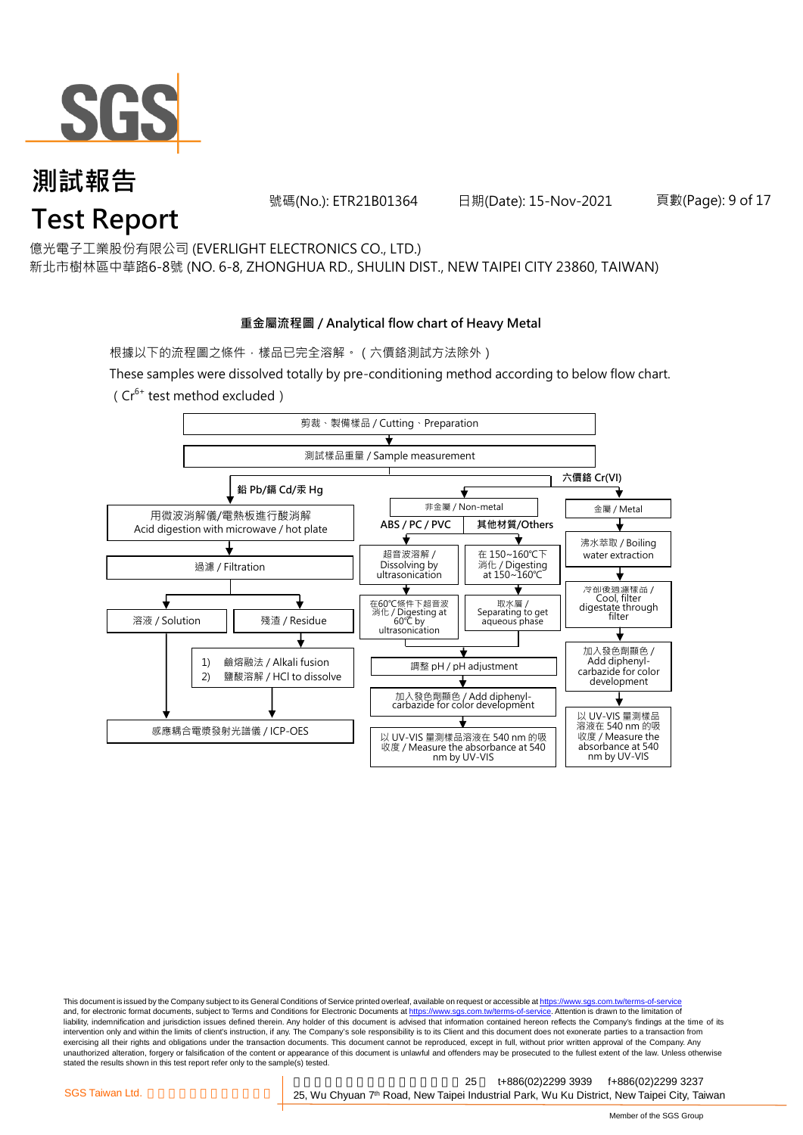

號碼(No.): ETR21B01364 日期(Date): 15-Nov-2021 頁數(Page): 9 of 17

億光電子工業股份有限公司 (EVERLIGHT ELECTRONICS CO., LTD.)

新北市樹林區中華路6-8號 (NO. 6-8, ZHONGHUA RD., SHULIN DIST., NEW TAIPEI CITY 23860, TAIWAN)

#### **重金屬流程圖 / Analytical flow chart of Heavy Metal**

根據以下的流程圖之條件,樣品已完全溶解。 (六價鉻測試方法除外)

These samples were dissolved totally by pre-conditioning method according to below flow chart. ( $Cr^{6+}$  test method excluded)



This document is issued by the Company subject to its General Conditions of Service printed overleaf, available on request or accessible at https://www.sgs.com.tw/terms-of-service and, for electronic format documents, subject to Terms and Conditions for Electronic Documents at https://www.sgs.com.tw/terms-of-service. Attention is drawn to the limitation of liability, indemnification and jurisdiction issues defined therein. Any holder of this document is advised that information contained hereon reflects the Company's findings at the time of its intervention only and within the limits of client's instruction, if any. The Company's sole responsibility is to its Client and this document does not exonerate parties to a transaction from exercising all their rights and obligations under the transaction documents. This document cannot be reproduced, except in full, without prior written approval of the Company. Any<br>unauthorized alteration, forgery or falsif stated the results shown in this test report refer only to the sample(s) tested.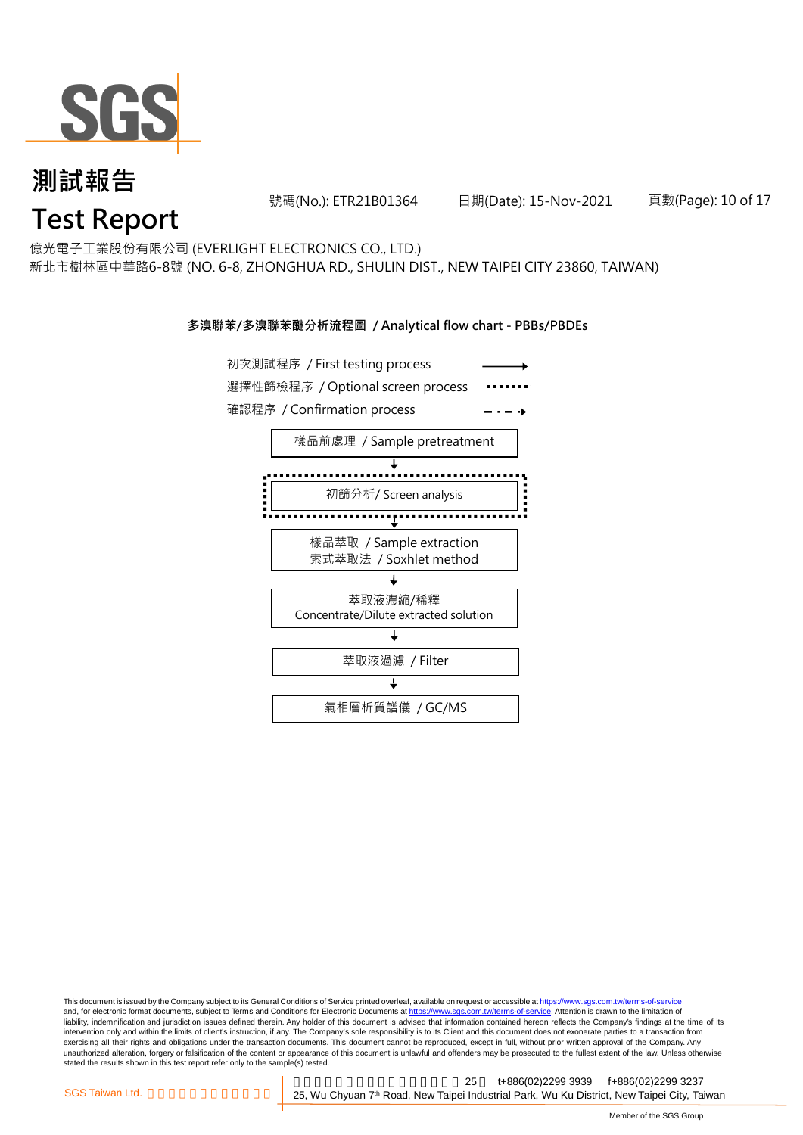

號碼(No.): ETR21B01364 日期(Date): 15-Nov-2021 頁數(Page): 10 of 17

億光電子工業股份有限公司 (EVERLIGHT ELECTRONICS CO., LTD.)

新北市樹林區中華路6-8號 (NO. 6-8, ZHONGHUA RD., SHULIN DIST., NEW TAIPEI CITY 23860, TAIWAN)

#### **多溴聯苯/多溴聯苯醚分析流程圖 / Analytical flow chart - PBBs/PBDEs**



This document is issued by the Company subject to its General Conditions of Service printed overleaf, available on request or accessible at https://www.sgs.com.tw/terms-of-service and, for electronic format documents, subject to Terms and Conditions for Electronic Documents at https://www.sgs.com.tw/terms-of-service. Attention is drawn to the limitation of liability, indemnification and jurisdiction issues defined therein. Any holder of this document is advised that information contained hereon reflects the Company's findings at the time of its intervention only and within the limits of client's instruction, if any. The Company's sole responsibility is to its Client and this document does not exonerate parties to a transaction from exercising all their rights and obligations under the transaction documents. This document cannot be reproduced, except in full, without prior written approval of the Company. Any<br>unauthorized alteration, forgery or falsif stated the results shown in this test report refer only to the sample(s) tested.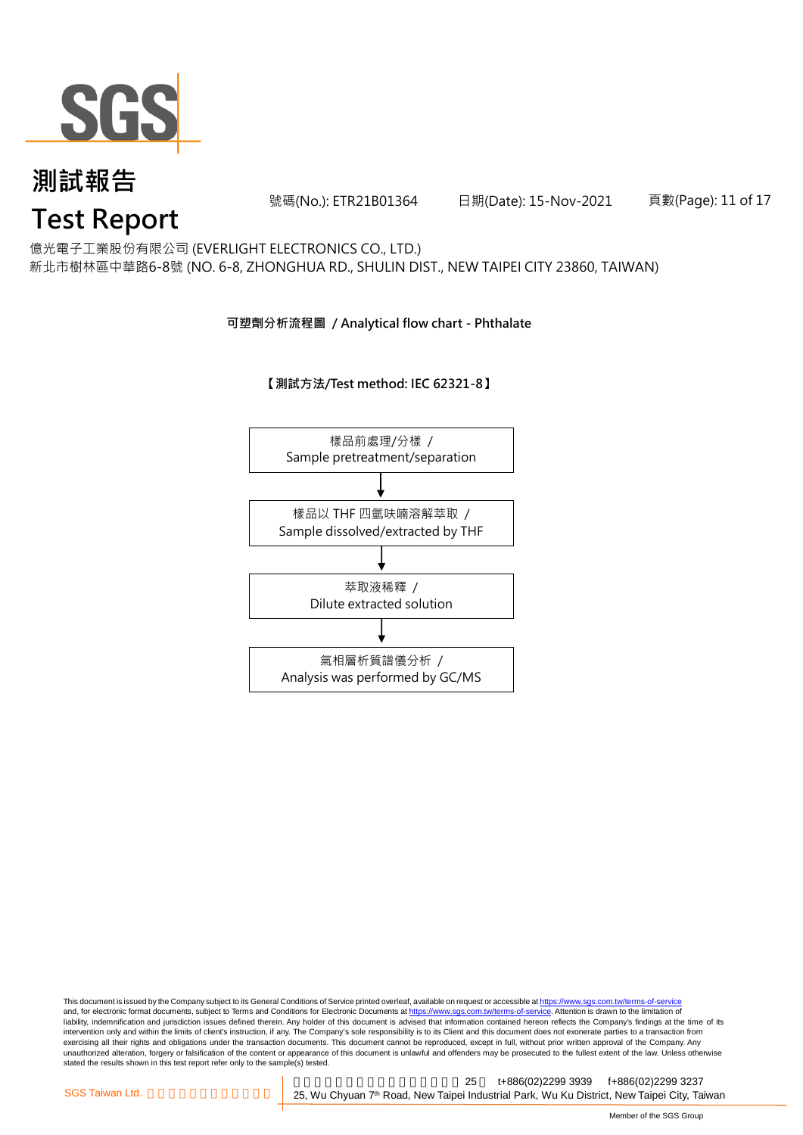

號碼(No.): ETR21B01364 日期(Date): 15-Nov-2021 頁數(Page): 11 of 17

億光電子工業股份有限公司 (EVERLIGHT ELECTRONICS CO., LTD.)

新北市樹林區中華路6-8號 (NO. 6-8, ZHONGHUA RD., SHULIN DIST., NEW TAIPEI CITY 23860, TAIWAN)

#### **可塑劑分析流程圖 / Analytical flow chart - Phthalate**

**【測試方法/Test method: IEC 62321-8】**



This document is issued by the Company subject to its General Conditions of Service printed overleaf, available on request or accessible at <u>https://www.sgs.com.tw/terms-of-service</u><br>and, for electronic format documents, su liability, indemnification and jurisdiction issues defined therein. Any holder of this document is advised that information contained hereon reflects the Company's findings at the time of its intervention only and within the limits of client's instruction, if any. The Company's sole responsibility is to its Client and this document does not exonerate parties to a transaction from exercising all their rights and obligations under the transaction documents. This document cannot be reproduced, except in full, without prior written approval of the Company. Any<br>unauthorized alteration, forgery or falsif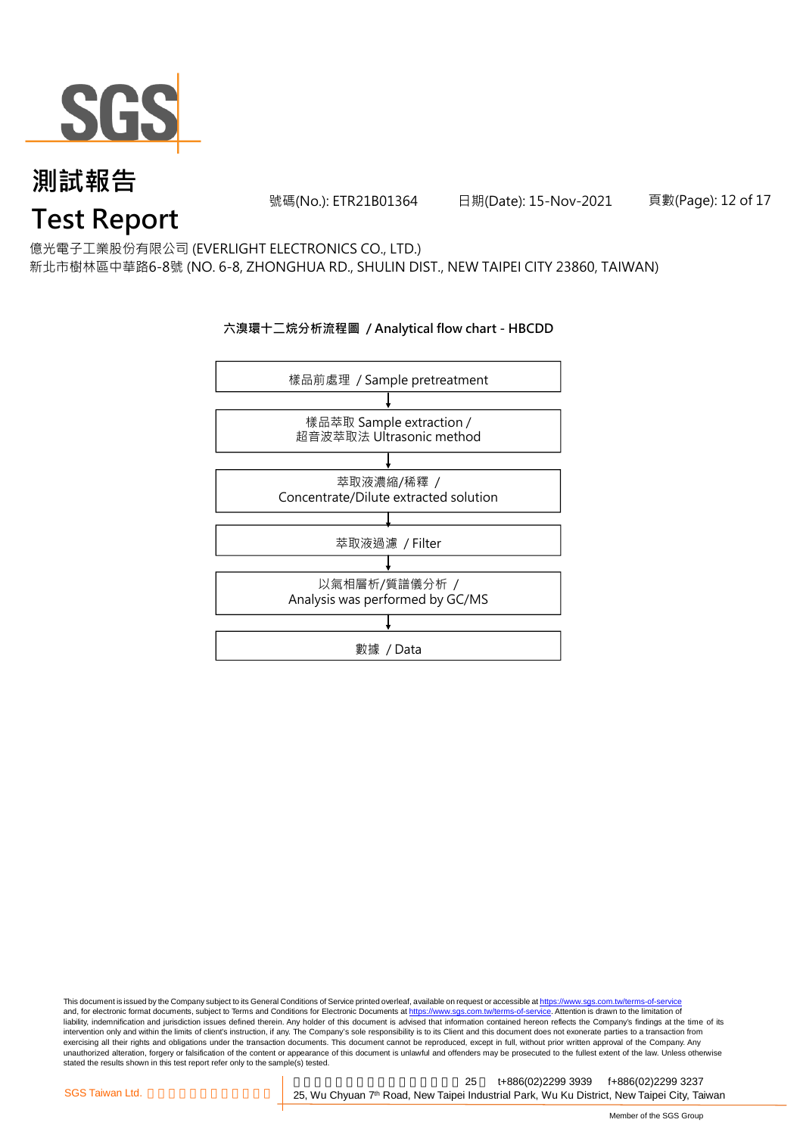

號碼(No.): ETR21B01364 日期(Date): 15-Nov-2021 頁數(Page): 12 of 17

億光電子工業股份有限公司 (EVERLIGHT ELECTRONICS CO., LTD.)

新北市樹林區中華路6-8號 (NO. 6-8, ZHONGHUA RD., SHULIN DIST., NEW TAIPEI CITY 23860, TAIWAN)

#### **六溴環十二烷分析流程圖 / Analytical flow chart - HBCDD**



This document is issued by the Company subject to its General Conditions of Service printed overleaf, available on request or accessible at <u>https://www.sgs.com.tw/terms-of-service</u><br>and, for electronic format documents, su liability, indemnification and jurisdiction issues defined therein. Any holder of this document is advised that information contained hereon reflects the Company's findings at the time of its intervention only and within the limits of client's instruction, if any. The Company's sole responsibility is to its Client and this document does not exonerate parties to a transaction from exercising all their rights and obligations under the transaction documents. This document cannot be reproduced, except in full, without prior written approval of the Company. Any<br>unauthorized alteration, forgery or falsif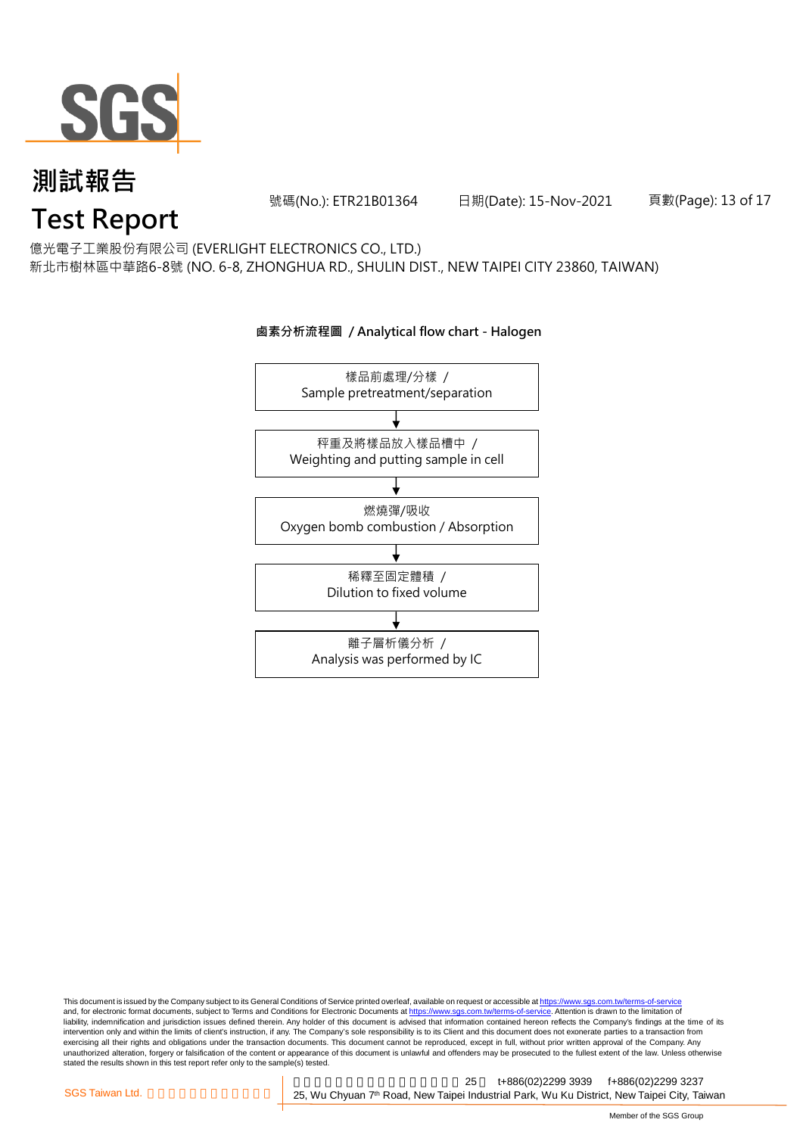

號碼(No.): ETR21B01364 日期(Date): 15-Nov-2021 頁數(Page): 13 of 17

億光電子工業股份有限公司 (EVERLIGHT ELECTRONICS CO., LTD.)

新北市樹林區中華路6-8號 (NO. 6-8, ZHONGHUA RD., SHULIN DIST., NEW TAIPEI CITY 23860, TAIWAN)

### 樣品前處理/分樣 / Sample pretreatment/separation 秤重及將樣品放入樣品槽中 / Weighting and putting sample in cell 燃燒彈/吸收 Oxygen bomb combustion / Absorption 離子層析儀分析 / Analysis was performed by IC 稀釋至固定體積 / Dilution to fixed volume

**鹵素分析流程圖 / Analytical flow chart - Halogen**

This document is issued by the Company subject to its General Conditions of Service printed overleaf, available on request or accessible at <u>https://www.sgs.com.tw/terms-of-service</u><br>and, for electronic format documents, su liability, indemnification and jurisdiction issues defined therein. Any holder of this document is advised that information contained hereon reflects the Company's findings at the time of its intervention only and within the limits of client's instruction, if any. The Company's sole responsibility is to its Client and this document does not exonerate parties to a transaction from exercising all their rights and obligations under the transaction documents. This document cannot be reproduced, except in full, without prior written approval of the Company. Any<br>unauthorized alteration, forgery or falsif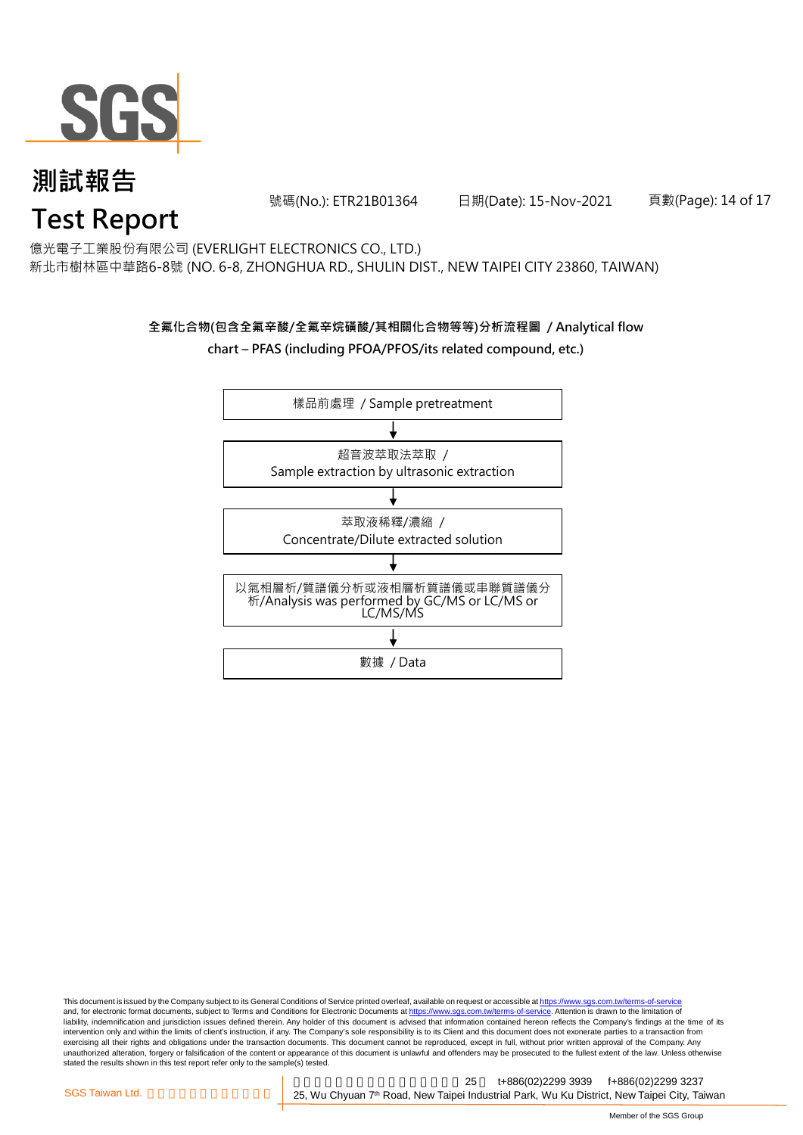

號碼(No.): ETR21B01364 日期(Date): 15-Nov-2021 頁數(Page): 14 of 17

億光電子工業股份有限公司 (EVERLIGHT ELECTRONICS CO., LTD.)

新北市樹林區中華路6-8號 (NO. 6-8, ZHONGHUA RD., SHULIN DIST., NEW TAIPEI CITY 23860, TAIWAN)

### **全氟化合物(包含全氟辛酸/全氟辛烷磺酸/其相關化合物等等)分析流程圖 / Analytical flow chart – PFAS (including PFOA/PFOS/its related compound, etc.)**



This document is issued by the Company subject to its General Conditions of Service printed overleaf, available on request or accessible at https://www.sgs.com.tw/terms-of-service and, for electronic format documents, subject to Terms and Conditions for Electronic Documents at https://www.sgs.com.tw/terms-of-service. Attention is drawn to the limitation of liability, indemnification and jurisdiction issues defined therein. Any holder of this document is advised that information contained hereon reflects the Company's findings at the time of its intervention only and within the limits of client's instruction, if any. The Company's sole responsibility is to its Client and this document does not exonerate parties to a transaction from exercising all their rights and obligations under the transaction documents. This document cannot be reproduced, except in full, without prior written approval of the Company. Any<br>unauthorized alteration, forgery or falsif stated the results shown in this test report refer only to the sample(s) tested.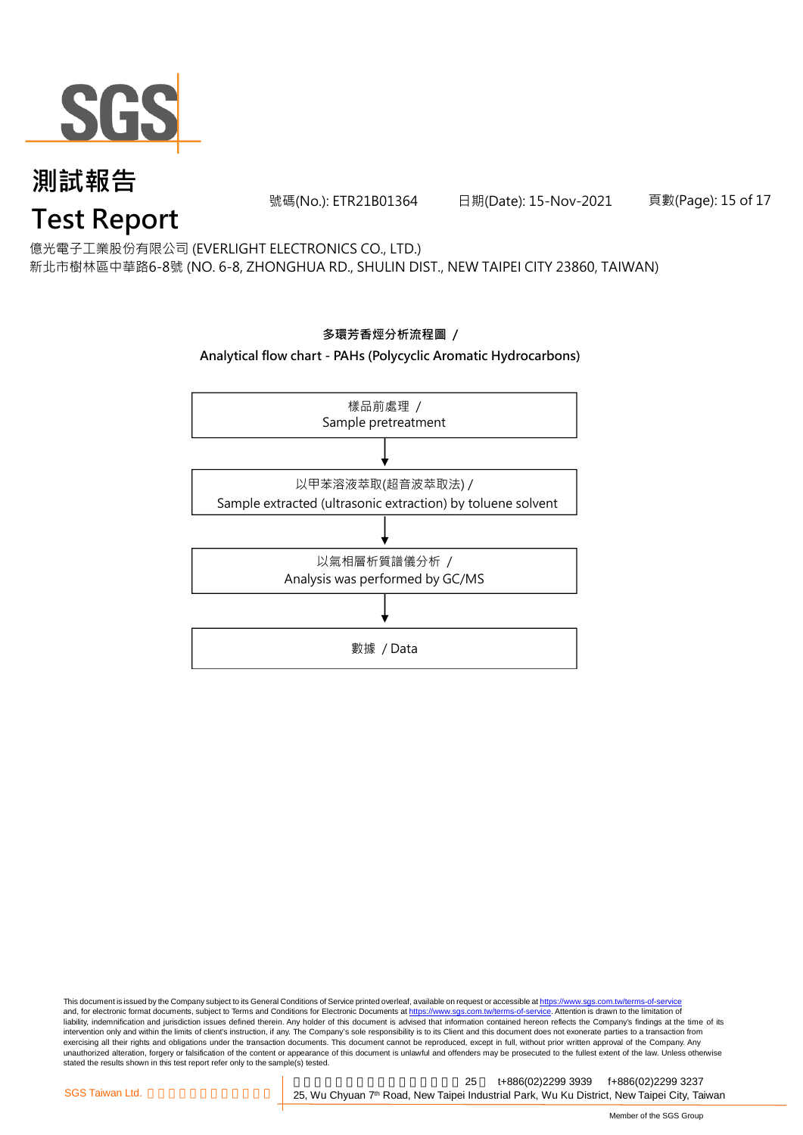

號碼(No.): ETR21B01364 日期(Date): 15-Nov-2021 頁數(Page): 15 of 17

億光電子工業股份有限公司 (EVERLIGHT ELECTRONICS CO., LTD.)

新北市樹林區中華路6-8號 (NO. 6-8, ZHONGHUA RD., SHULIN DIST., NEW TAIPEI CITY 23860, TAIWAN)



This document is issued by the Company subject to its General Conditions of Service printed overleaf, available on request or accessible at <u>https://www.sgs.com.tw/terms-of-service</u><br>and, for electronic format documents, su liability, indemnification and jurisdiction issues defined therein. Any holder of this document is advised that information contained hereon reflects the Company's findings at the time of its intervention only and within the limits of client's instruction, if any. The Company's sole responsibility is to its Client and this document does not exonerate parties to a transaction from exercising all their rights and obligations under the transaction documents. This document cannot be reproduced, except in full, without prior written approval of the Company. Any<br>unauthorized alteration, forgery or falsif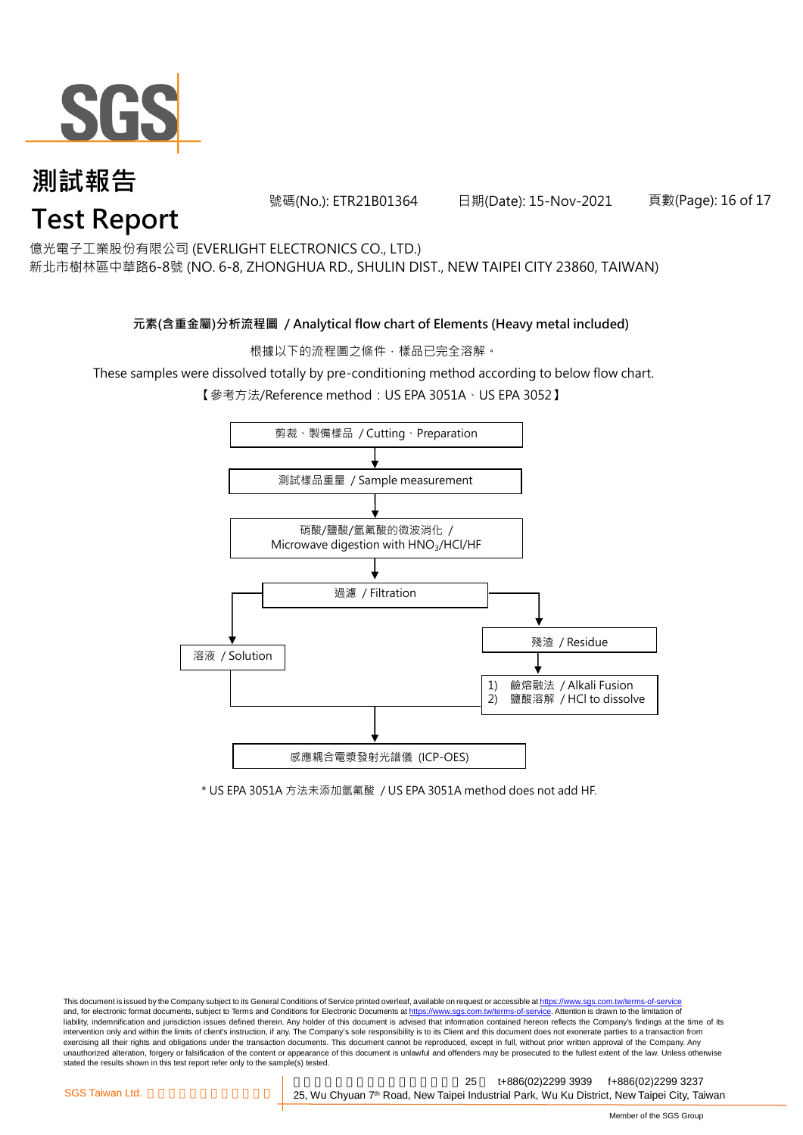

號碼(No.): ETR21B01364 日期(Date): 15-Nov-2021 頁數(Page): 16 of 17

億光電子工業股份有限公司 (EVERLIGHT ELECTRONICS CO., LTD.)

新北市樹林區中華路6-8號 (NO. 6-8, ZHONGHUA RD., SHULIN DIST., NEW TAIPEI CITY 23860, TAIWAN)

#### **元素(含重金屬)分析流程圖 / Analytical flow chart of Elements (Heavy metal included)**

根據以下的流程圖之條件,樣品已完全溶解。

These samples were dissolved totally by pre-conditioning method according to below flow chart.

【參考方法/Reference method:US EPA 3051A、US EPA 3052】



\* US EPA 3051A 方法未添加氫氟酸 / US EPA 3051A method does not add HF.

This document is issued by the Company subject to its General Conditions of Service printed overleaf, available on request or accessible at https://www.sgs.com.tw/terms-of-service and, for electronic format documents, subject to Terms and Conditions for Electronic Documents at https://www.sgs.com.tw/terms-of-service. Attention is drawn to the limitation of liability, indemnification and jurisdiction issues defined therein. Any holder of this document is advised that information contained hereon reflects the Company's findings at the time of its intervention only and within the limits of client's instruction, if any. The Company's sole responsibility is to its Client and this document does not exonerate parties to a transaction from exercising all their rights and obligations under the transaction documents. This document cannot be reproduced, except in full, without prior written approval of the Company. Any<br>unauthorized alteration, forgery or falsif stated the results shown in this test report refer only to the sample(s) tested.